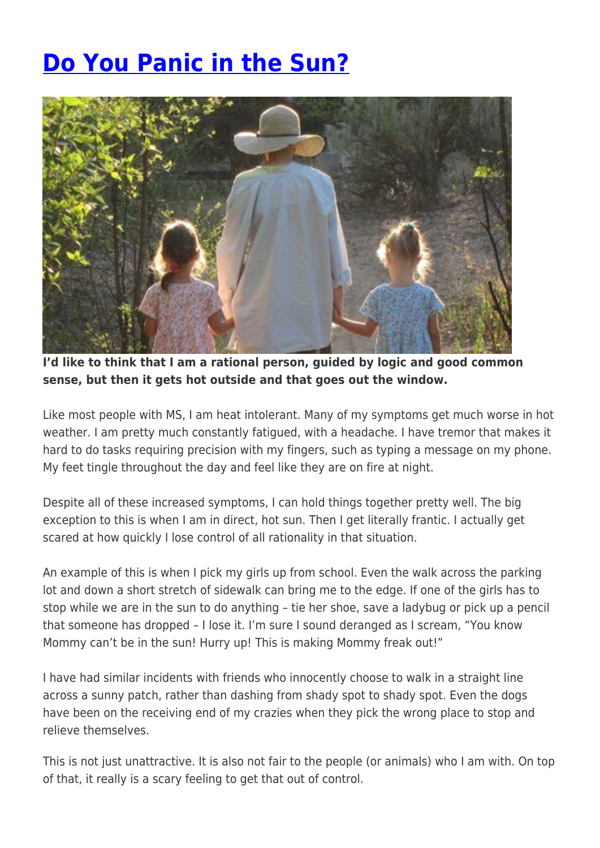## **[Do You Panic in the Sun?](https://momentummagazineonline.com/blog/do-you-panic-in-the-sun/)**



**I'd like to think that I am a rational person, guided by logic and good common sense, but then it gets hot outside and that goes out the window.**

Like most people with MS, I am heat intolerant. Many of my symptoms get much worse in hot weather. I am pretty much constantly fatigued, with a headache. I have tremor that makes it hard to do tasks requiring precision with my fingers, such as typing a message on my phone. My feet tingle throughout the day and feel like they are on fire at night.

Despite all of these increased symptoms, I can hold things together pretty well. The big exception to this is when I am in direct, hot sun. Then I get literally frantic. I actually get scared at how quickly I lose control of all rationality in that situation.

An example of this is when I pick my girls up from school. Even the walk across the parking lot and down a short stretch of sidewalk can bring me to the edge. If one of the girls has to stop while we are in the sun to do anything – tie her shoe, save a ladybug or pick up a pencil that someone has dropped – I lose it. I'm sure I sound deranged as I scream, "You know Mommy can't be in the sun! Hurry up! This is making Mommy freak out!"

I have had similar incidents with friends who innocently choose to walk in a straight line across a sunny patch, rather than dashing from shady spot to shady spot. Even the dogs have been on the receiving end of my crazies when they pick the wrong place to stop and relieve themselves.

This is not just unattractive. It is also not fair to the people (or animals) who I am with. On top of that, it really is a scary feeling to get that out of control.